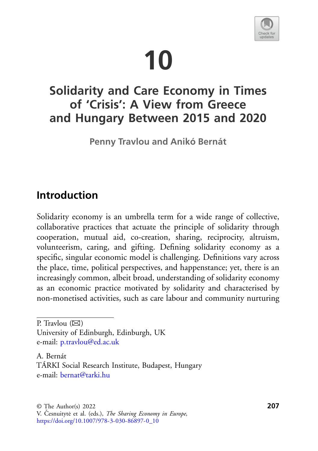# **10**



## **Solidarity and Care Economy in Times of 'Crisis': A View from Greece and Hungary Between 2015 and 2020**

**Penny Travlou and Anikó Bernát**

## **Introduction**

Solidarity economy is an umbrella term for a wide range of collective, collaborative practices that actuate the principle of solidarity through cooperation, mutual aid, co-creation, sharing, reciprocity, altruism, volunteerism, caring, and gifting. Defining solidarity economy as a specific, singular economic model is challenging. Definitions vary across the place, time, political perspectives, and happenstance; yet, there is an increasingly common, albeit broad, understanding of solidarity economy as an economic practice motivated by solidarity and characterised by non-monetised activities, such as care labour and community nurturing

P. Travlou  $(\boxtimes)$ University of Edinburgh, Edinburgh, UK e-mail: [p.travlou@ed.ac.uk](mailto:p.travlou@ed.ac.uk)

A. Bernát TÁRKI Social Research Institute, Budapest, Hungary e-mail: [bernat@tarki.hu](mailto:bernat@tarki.hu)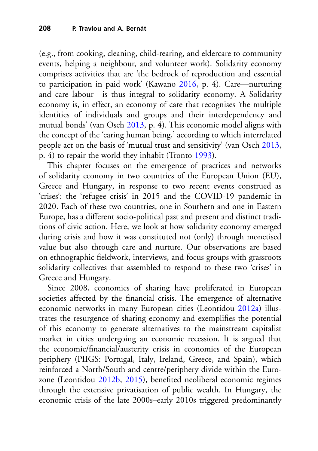(e.g., from cooking, cleaning, child-rearing, and eldercare to community events, helping a neighbour, and volunteer work). Solidarity economy comprises activities that are 'the bedrock of reproduction and essential to participation in paid work' (Kawano [2016,](#page-26-0) p. 4). Care—nurturing and care labour—is thus integral to solidarity economy. A Solidarity economy is, in effect, an economy of care that recognises 'the multiple identities of individuals and groups and their interdependency and mutual bonds' (van Osch [2013,](#page-28-0) p. 4). This economic model aligns with the concept of the 'caring human being,' according to which interrelated people act on the basis of 'mutual trust and sensitivity' (van Osch [2013,](#page-28-0) p. 4) to repair the world they inhabit (Tronto [1993\)](#page-28-1).

This chapter focuses on the emergence of practices and networks of solidarity economy in two countries of the European Union (EU), Greece and Hungary, in response to two recent events construed as 'crises': the 'refugee crisis' in 2015 and the COVID-19 pandemic in 2020. Each of these two countries, one in Southern and one in Eastern Europe, has a different socio-political past and present and distinct traditions of civic action. Here, we look at how solidarity economy emerged during crisis and how it was constituted not (only) through monetised value but also through care and nurture. Our observations are based on ethnographic fieldwork, interviews, and focus groups with grassroots solidarity collectives that assembled to respond to these two 'crises' in Greece and Hungary.

Since 2008, economies of sharing have proliferated in European societies affected by the financial crisis. The emergence of alternative economic networks in many European cities (Leontidou [2012a\)](#page-26-1) illustrates the resurgence of sharing economy and exemplifies the potential of this economy to generate alternatives to the mainstream capitalist market in cities undergoing an economic recession. It is argued that the economic/financial/austerity crisis in economies of the European periphery (PIIGS: Portugal, Italy, Ireland, Greece, and Spain), which reinforced a North/South and centre/periphery divide within the Eurozone (Leontidou [2012b,](#page-27-0) [2015\)](#page-27-1), benefited neoliberal economic regimes through the extensive privatisation of public wealth. In Hungary, the economic crisis of the late 2000s–early 2010s triggered predominantly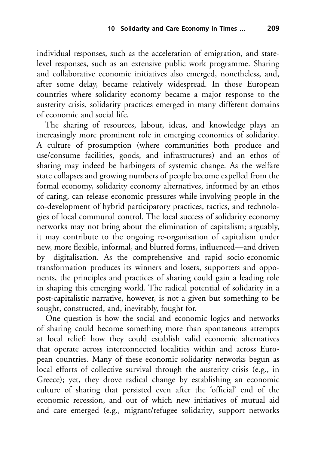individual responses, such as the acceleration of emigration, and statelevel responses, such as an extensive public work programme. Sharing and collaborative economic initiatives also emerged, nonetheless, and, after some delay, became relatively widespread. In those European countries where solidarity economy became a major response to the austerity crisis, solidarity practices emerged in many different domains of economic and social life.

The sharing of resources, labour, ideas, and knowledge plays an increasingly more prominent role in emerging economies of solidarity. A culture of prosumption (where communities both produce and use/consume facilities, goods, and infrastructures) and an ethos of sharing may indeed be harbingers of systemic change. As the welfare state collapses and growing numbers of people become expelled from the formal economy, solidarity economy alternatives, informed by an ethos of caring, can release economic pressures while involving people in the co-development of hybrid participatory practices, tactics, and technologies of local communal control. The local success of solidarity economy networks may not bring about the elimination of capitalism; arguably, it may contribute to the ongoing re-organisation of capitalism under new, more flexible, informal, and blurred forms, influenced—and driven by—digitalisation. As the comprehensive and rapid socio-economic transformation produces its winners and losers, supporters and opponents, the principles and practices of sharing could gain a leading role in shaping this emerging world. The radical potential of solidarity in a post-capitalistic narrative, however, is not a given but something to be sought, constructed, and, inevitably, fought for.

One question is how the social and economic logics and networks of sharing could become something more than spontaneous attempts at local relief: how they could establish valid economic alternatives that operate across interconnected localities within and across European countries. Many of these economic solidarity networks begun as local efforts of collective survival through the austerity crisis (e.g., in Greece); yet, they drove radical change by establishing an economic culture of sharing that persisted even after the 'official' end of the economic recession, and out of which new initiatives of mutual aid and care emerged (e.g., migrant/refugee solidarity, support networks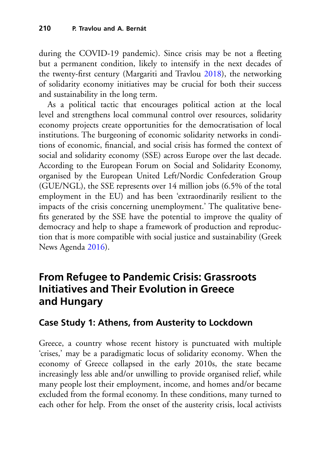during the COVID-19 pandemic). Since crisis may be not a fleeting but a permanent condition, likely to intensify in the next decades of the twenty-first century (Margariti and Travlou [2018\)](#page-27-2), the networking of solidarity economy initiatives may be crucial for both their success and sustainability in the long term.

As a political tactic that encourages political action at the local level and strengthens local communal control over resources, solidarity economy projects create opportunities for the democratisation of local institutions. The burgeoning of economic solidarity networks in conditions of economic, financial, and social crisis has formed the context of social and solidarity economy (SSE) across Europe over the last decade. According to the European Forum on Social and Solidarity Economy, organised by the European United Left/Nordic Confederation Group (GUE/NGL), the SSE represents over 14 million jobs (6.5% of the total employment in the EU) and has been 'extraordinarily resilient to the impacts of the crisis concerning unemployment.' The qualitative benefits generated by the SSE have the potential to improve the quality of democracy and help to shape a framework of production and reproduction that is more compatible with social justice and sustainability (Greek News Agenda [2016\)](#page-26-2).

## **From Refugee to Pandemic Crisis: Grassroots Initiatives and Their Evolution in Greece and Hungary**

#### **Case Study 1: Athens, from Austerity to Lockdown**

Greece, a country whose recent history is punctuated with multiple 'crises,' may be a paradigmatic locus of solidarity economy. When the economy of Greece collapsed in the early 2010s, the state became increasingly less able and/or unwilling to provide organised relief, while many people lost their employment, income, and homes and/or became excluded from the formal economy. In these conditions, many turned to each other for help. From the onset of the austerity crisis, local activists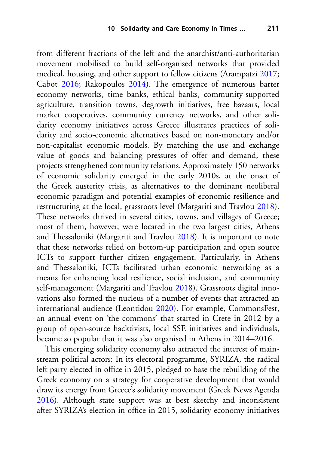from different fractions of the left and the anarchist/anti-authoritarian movement mobilised to build self-organised networks that provided medical, housing, and other support to fellow citizens (Arampatzi [2017;](#page-24-0) Cabot [2016;](#page-25-0) Rakopoulos [2014\)](#page-27-3). The emergence of numerous barter economy networks, time banks, ethical banks, community-supported agriculture, transition towns, degrowth initiatives, free bazaars, local market cooperatives, community currency networks, and other solidarity economy initiatives across Greece illustrates practices of solidarity and socio-economic alternatives based on non-monetary and/or non-capitalist economic models. By matching the use and exchange value of goods and balancing pressures of offer and demand, these projects strengthened community relations. Approximately 150 networks of economic solidarity emerged in the early 2010s, at the onset of the Greek austerity crisis, as alternatives to the dominant neoliberal economic paradigm and potential examples of economic resilience and restructuring at the local, grassroots level (Margariti and Travlou [2018\)](#page-27-2). These networks thrived in several cities, towns, and villages of Greece; most of them, however, were located in the two largest cities, Athens and Thessaloniki (Margariti and Travlou [2018\)](#page-27-2). It is important to note that these networks relied on bottom-up participation and open source ICTs to support further citizen engagement. Particularly, in Athens and Thessaloniki, ICTs facilitated urban economic networking as a means for enhancing local resilience, social inclusion, and community self-management (Margariti and Travlou [2018\)](#page-27-2). Grassroots digital innovations also formed the nucleus of a number of events that attracted an international audience (Leontidou [2020\)](#page-27-4). For example, CommonsFest, an annual event on 'the commons' that started in Crete in 2012 by a group of open-source hacktivists, local SSE initiatives and individuals, became so popular that it was also organised in Athens in 2014–2016.

This emerging solidarity economy also attracted the interest of mainstream political actors: In its electoral programme, SYRIZA, the radical left party elected in office in 2015, pledged to base the rebuilding of the Greek economy on a strategy for cooperative development that would draw its energy from Greece's solidarity movement (Greek News Agenda [2016\)](#page-26-2). Although state support was at best sketchy and inconsistent after SYRIZA's election in office in 2015, solidarity economy initiatives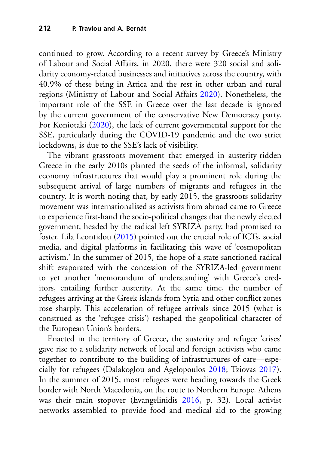continued to grow. According to a recent survey by Greece's Ministry of Labour and Social Affairs, in 2020, there were 320 social and solidarity economy-related businesses and initiatives across the country, with 40.9% of these being in Attica and the rest in other urban and rural regions (Ministry of Labour and Social Affairs [2020\)](#page-27-5). Nonetheless, the important role of the SSE in Greece over the last decade is ignored by the current government of the conservative New Democracy party. For Koniotaki [\(2020\)](#page-26-3), the lack of current governmental support for the SSE, particularly during the COVID-19 pandemic and the two strict lockdowns, is due to the SSE's lack of visibility.

The vibrant grassroots movement that emerged in austerity-ridden Greece in the early 2010s planted the seeds of the informal, solidarity economy infrastructures that would play a prominent role during the subsequent arrival of large numbers of migrants and refugees in the country. It is worth noting that, by early 2015, the grassroots solidarity movement was internationalised as activists from abroad came to Greece to experience first-hand the socio-political changes that the newly elected government, headed by the radical left SYRIZA party, had promised to foster. Lila Leontidou [\(2015\)](#page-27-1) pointed out the crucial role of ICTs, social media, and digital platforms in facilitating this wave of 'cosmopolitan activism.' In the summer of 2015, the hope of a state-sanctioned radical shift evaporated with the concession of the SYRIZA-led government to yet another 'memorandum of understanding' with Greece's creditors, entailing further austerity. At the same time, the number of refugees arriving at the Greek islands from Syria and other conflict zones rose sharply. This acceleration of refugee arrivals since 2015 (what is construed as the 'refugee crisis') reshaped the geopolitical character of the European Union's borders.

Enacted in the territory of Greece, the austerity and refugee 'crises' gave rise to a solidarity network of local and foreign activists who came together to contribute to the building of infrastructures of care—especially for refugees (Dalakoglou and Agelopoulos [2018;](#page-25-1) Tziovas [2017\)](#page-28-2). In the summer of 2015, most refugees were heading towards the Greek border with North Macedonia, on the route to Northern Europe. Athens was their main stopover (Evangelinidis [2016,](#page-26-4) p. 32). Local activist networks assembled to provide food and medical aid to the growing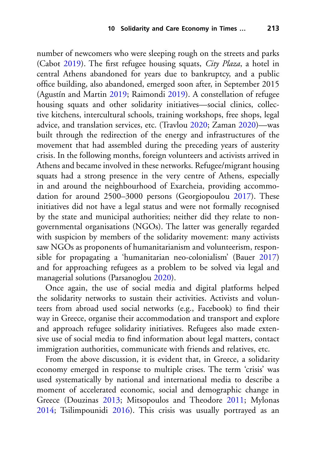number of newcomers who were sleeping rough on the streets and parks (Cabot [2019\)](#page-29-0). The first refugee housing squats, *City Plaza*, a hotel in central Athens abandoned for years due to bankruptcy, and a public office building, also abandoned, emerged soon after, in September 2015 (Agustín and Martin [2019;](#page-24-1) Raimondi [2019\)](#page-27-6). A constellation of refugee housing squats and other solidarity initiatives—social clinics, collective kitchens, intercultural schools, training workshops, free shops, legal advice, and translation services, etc. (Travlou [2020;](#page-28-3) Zaman [2020\)](#page-29-1)—was built through the redirection of the energy and infrastructures of the movement that had assembled during the preceding years of austerity crisis. In the following months, foreign volunteers and activists arrived in Athens and became involved in these networks. Refugee/migrant housing squats had a strong presence in the very centre of Athens, especially in and around the neighbourhood of Exarcheia, providing accommodation for around 2500–3000 persons (Georgiopoulou [2017\)](#page-26-5). These initiatives did not have a legal status and were not formally recognised by the state and municipal authorities; neither did they relate to nongovernmental organisations (NGOs). The latter was generally regarded with suspicion by members of the solidarity movement: many activists saw NGOs as proponents of humanitarianism and volunteerism, responsible for propagating a 'humanitarian neo-colonialism' (Bauer [2017\)](#page-24-2) and for approaching refugees as a problem to be solved via legal and managerial solutions (Parsanoglou [2020\)](#page-27-7).

Once again, the use of social media and digital platforms helped the solidarity networks to sustain their activities. Activists and volunteers from abroad used social networks (e.g., Facebook) to find their way in Greece, organise their accommodation and transport and explore and approach refugee solidarity initiatives. Refugees also made extensive use of social media to find information about legal matters, contact immigration authorities, communicate with friends and relatives, etc.

From the above discussion, it is evident that, in Greece, a solidarity economy emerged in response to multiple crises. The term 'crisis' was used systematically by national and international media to describe a moment of accelerated economic, social and demographic change in Greece (Douzinas [2013;](#page-25-2) Mitsopoulos and Theodore [2011;](#page-27-8) Mylonas [2014;](#page-27-9) Tsilimpounidi [2016\)](#page-28-4). This crisis was usually portrayed as an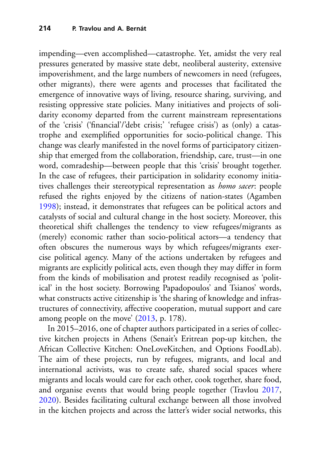impending—even accomplished—catastrophe. Yet, amidst the very real pressures generated by massive state debt, neoliberal austerity, extensive impoverishment, and the large numbers of newcomers in need (refugees, other migrants), there were agents and processes that facilitated the emergence of innovative ways of living, resource sharing, surviving, and resisting oppressive state policies. Many initiatives and projects of solidarity economy departed from the current mainstream representations of the 'crisis' ('financial'/'debt crisis;' 'refugee crisis') as (only) a catastrophe and exemplified opportunities for socio-political change. This change was clearly manifested in the novel forms of participatory citizenship that emerged from the collaboration, friendship, care, trust—in one word, comradeship—between people that this 'crisis' brought together. In the case of refugees, their participation in solidarity economy initiatives challenges their stereotypical representation as *homo sacer*: people refused the rights enjoyed by the citizens of nation-states (Agamben [1998\)](#page-24-3); instead, it demonstrates that refugees can be political actors and catalysts of social and cultural change in the host society. Moreover, this theoretical shift challenges the tendency to view refugees/migrants as (merely) economic rather than socio-political actors—a tendency that often obscures the numerous ways by which refugees/migrants exercise political agency. Many of the actions undertaken by refugees and migrants are explicitly political acts, even though they may differ in form from the kinds of mobilisation and protest readily recognised as 'political' in the host society. Borrowing Papadopoulos' and Tsianos' words, what constructs active citizenship is 'the sharing of knowledge and infrastructures of connectivity, affective cooperation, mutual support and care among people on the move' [\(2013,](#page-27-10) p. 178).

In 2015–2016, one of chapter authors participated in a series of collective kitchen projects in Athens (Senait's Eritrean pop-up kitchen, the African Collective Kitchen: OneLoveKitchen, and Options FoodLab). The aim of these projects, run by refugees, migrants, and local and international activists, was to create safe, shared social spaces where migrants and locals would care for each other, cook together, share food, and organise events that would bring people together (Travlou [2017,](#page-28-3) [2020\)](#page-28-3). Besides facilitating cultural exchange between all those involved in the kitchen projects and across the latter's wider social networks, this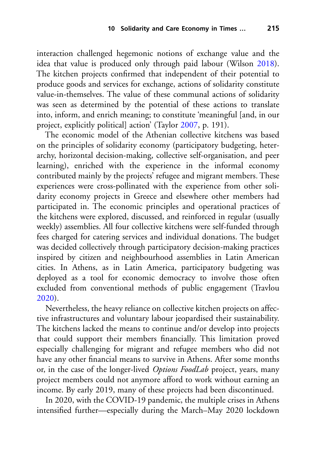interaction challenged hegemonic notions of exchange value and the idea that value is produced only through paid labour (Wilson [2018\)](#page-28-5). The kitchen projects confirmed that independent of their potential to produce goods and services for exchange, actions of solidarity constitute value-in-themselves. The value of these communal actions of solidarity was seen as determined by the potential of these actions to translate into, inform, and enrich meaning; to constitute 'meaningful [and, in our project, explicitly political] action' (Taylor [2007,](#page-28-6) p. 191).

The economic model of the Athenian collective kitchens was based on the principles of solidarity economy (participatory budgeting, heterarchy, horizontal decision-making, collective self-organisation, and peer learning), enriched with the experience in the informal economy contributed mainly by the projects' refugee and migrant members*.* These experiences were cross-pollinated with the experience from other solidarity economy projects in Greece and elsewhere other members had participated in. The economic principles and operational practices of the kitchens were explored, discussed, and reinforced in regular (usually weekly) assemblies. All four collective kitchens were self-funded through fees charged for catering services and individual donations. The budget was decided collectively through participatory decision-making practices inspired by citizen and neighbourhood assemblies in Latin American cities. In Athens, as in Latin America, participatory budgeting was deployed as a tool for economic democracy to involve those often excluded from conventional methods of public engagement (Travlou [2020\)](#page-28-3).

Nevertheless, the heavy reliance on collective kitchen projects on affective infrastructures and voluntary labour jeopardised their sustainability. The kitchens lacked the means to continue and/or develop into projects that could support their members financially. This limitation proved especially challenging for migrant and refugee members who did not have any other financial means to survive in Athens. After some months or, in the case of the longer-lived *Options FoodLab* project, years, many project members could not anymore afford to work without earning an income. By early 2019, many of these projects had been discontinued.

In 2020, with the COVID-19 pandemic, the multiple crises in Athens intensified further—especially during the March–May 2020 lockdown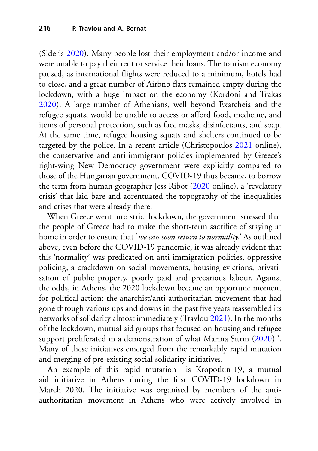(Sideris [2020\)](#page-28-7). Many people lost their employment and/or income and were unable to pay their rent or service their loans. The tourism economy paused, as international flights were reduced to a minimum, hotels had to close, and a great number of Airbnb flats remained empty during the lockdown, with a huge impact on the economy (Kordoni and Trakas [2020\)](#page-26-6). A large number of Athenians, well beyond Exarcheia and the refugee squats, would be unable to access or afford food, medicine, and items of personal protection, such as face masks, disinfectants, and soap. At the same time, refugee housing squats and shelters continued to be targeted by the police. In a recent article (Christopoulos [2021](#page-25-3) online), the conservative and anti-immigrant policies implemented by Greece's right-wing New Democracy government were explicitly compared to those of the Hungarian government. COVID-19 thus became, to borrow the term from human geographer Jess Ribot [\(2020](#page-27-11) online), a 'revelatory crisis' that laid bare and accentuated the topography of the inequalities and crises that were already there.

When Greece went into strict lockdown, the government stressed that the people of Greece had to make the short-term sacrifice of staying at home in order to ensure that '*we can soon return to normality.*' As outlined above, even before the COVID-19 pandemic, it was already evident that this 'normality' was predicated on anti-immigration policies, oppressive policing, a crackdown on social movements, housing evictions, privatisation of public property, poorly paid and precarious labour. Against the odds, in Athens, the 2020 lockdown became an opportune moment for political action: the anarchist/anti-authoritarian movement that had gone through various ups and downs in the past five years reassembled its networks of solidarity almost immediately (Travlou [2021\)](#page-28-8). In the months of the lockdown, mutual aid groups that focused on housing and refugee support proliferated in a demonstration of what Marina Sitrin [\(2020\)](#page-28-9) '. Many of these initiatives emerged from the remarkably rapid mutation and merging of pre-existing social solidarity initiatives.

An example of this rapid mutation is Kropotkin-19, a mutual aid initiative in Athens during the first COVID-19 lockdown in March 2020. The initiative was organised by members of the antiauthoritarian movement in Athens who were actively involved in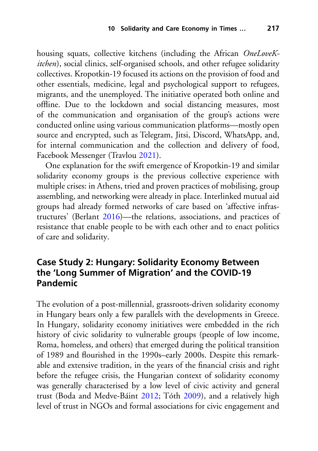housing squats, collective kitchens (including the African *OneLoveKitchen*), social clinics, self-organised schools, and other refugee solidarity collectives. Kropotkin-19 focused its actions on the provision of food and other essentials, medicine, legal and psychological support to refugees, migrants, and the unemployed. The initiative operated both online and offline. Due to the lockdown and social distancing measures, most of the communication and organisation of the group's actions were conducted online using various communication platforms—mostly open source and encrypted, such as Telegram, Jitsi, Discord, WhatsApp, and, for internal communication and the collection and delivery of food, Facebook Messenger (Travlou [2021\)](#page-28-8).

One explanation for the swift emergence of Kropotkin-19 and similar solidarity economy groups is the previous collective experience with multiple crises: in Athens, tried and proven practices of mobilising, group assembling, and networking were already in place. Interlinked mutual aid groups had already formed networks of care based on 'affective infrastructures' (Berlant [2016\)](#page-24-4)—the relations, associations, and practices of resistance that enable people to be with each other and to enact politics of care and solidarity.

### **Case Study 2: Hungary: Solidarity Economy Between the 'Long Summer of Migration' and the COVID-19 Pandemic**

The evolution of a post-millennial, grassroots-driven solidarity economy in Hungary bears only a few parallels with the developments in Greece. In Hungary, solidarity economy initiatives were embedded in the rich history of civic solidarity to vulnerable groups (people of low income, Roma, homeless, and others) that emerged during the political transition of 1989 and flourished in the 1990s–early 2000s. Despite this remarkable and extensive tradition, in the years of the financial crisis and right before the refugee crisis, the Hungarian context of solidarity economy was generally characterised by a low level of civic activity and general trust (Boda and Medve-Báint [2012;](#page-25-4) Tóth [2009\)](#page-28-10), and a relatively high level of trust in NGOs and formal associations for civic engagement and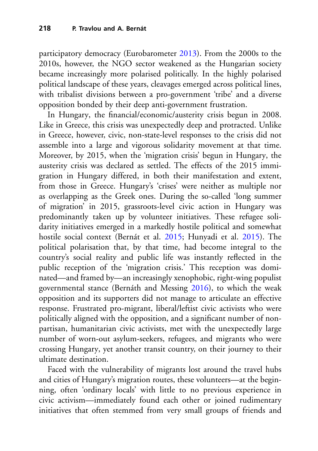participatory democracy (Eurobarometer [2013\)](#page-26-7). From the 2000s to the 2010s, however, the NGO sector weakened as the Hungarian society became increasingly more polarised politically. In the highly polarised political landscape of these years, cleavages emerged across political lines, with tribalist divisions between a pro-government 'tribe' and a diverse opposition bonded by their deep anti-government frustration.

In Hungary, the financial/economic/austerity crisis begun in 2008. Like in Greece, this crisis was unexpectedly deep and protracted. Unlike in Greece, however, civic, non-state-level responses to the crisis did not assemble into a large and vigorous solidarity movement at that time. Moreover, by 2015, when the 'migration crisis' begun in Hungary, the austerity crisis was declared as settled. The effects of the 2015 immigration in Hungary differed, in both their manifestation and extent, from those in Greece. Hungary's 'crises' were neither as multiple nor as overlapping as the Greek ones. During the so-called 'long summer of migration' in 2015, grassroots-level civic action in Hungary was predominantly taken up by volunteer initiatives. These refugee solidarity initiatives emerged in a markedly hostile political and somewhat hostile social context (Bernát et al. [2015;](#page-25-5) Hunyadi et al. [2015\)](#page-26-8). The political polarisation that, by that time, had become integral to the country's social reality and public life was instantly reflected in the public reception of the 'migration crisis.' This reception was dominated—and framed by—an increasingly xenophobic, right-wing populist governmental stance (Bernáth and Messing [2016\)](#page-25-6), to which the weak opposition and its supporters did not manage to articulate an effective response. Frustrated pro-migrant, liberal/leftist civic activists who were politically aligned with the opposition, and a significant number of nonpartisan, humanitarian civic activists, met with the unexpectedly large number of worn-out asylum-seekers, refugees, and migrants who were crossing Hungary, yet another transit country, on their journey to their ultimate destination.

Faced with the vulnerability of migrants lost around the travel hubs and cities of Hungary's migration routes, these volunteers—at the beginning, often 'ordinary locals' with little to no previous experience in civic activism—immediately found each other or joined rudimentary initiatives that often stemmed from very small groups of friends and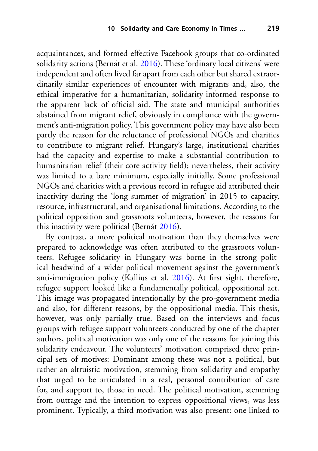acquaintances, and formed effective Facebook groups that co-ordinated solidarity actions (Bernát et al. [2016\)](#page-25-7). These 'ordinary local citizens' were independent and often lived far apart from each other but shared extraordinarily similar experiences of encounter with migrants and, also, the ethical imperative for a humanitarian, solidarity-informed response to the apparent lack of official aid. The state and municipal authorities abstained from migrant relief, obviously in compliance with the government's anti-migration policy. This government policy may have also been partly the reason for the reluctance of professional NGOs and charities to contribute to migrant relief. Hungary's large, institutional charities had the capacity and expertise to make a substantial contribution to humanitarian relief (their core activity field); nevertheless, their activity was limited to a bare minimum, especially initially. Some professional NGOs and charities with a previous record in refugee aid attributed their inactivity during the 'long summer of migration' in 2015 to capacity, resource, infrastructural, and organisational limitations. According to the political opposition and grassroots volunteers, however, the reasons for this inactivity were political (Bernát [2016\)](#page-25-8).

By contrast, a more political motivation than they themselves were prepared to acknowledge was often attributed to the grassroots volunteers. Refugee solidarity in Hungary was borne in the strong political headwind of a wider political movement against the government's anti-immigration policy (Kallius et al. [2016\)](#page-26-9). At first sight, therefore, refugee support looked like a fundamentally political, oppositional act. This image was propagated intentionally by the pro-government media and also, for different reasons, by the oppositional media. This thesis, however, was only partially true. Based on the interviews and focus groups with refugee support volunteers conducted by one of the chapter authors, political motivation was only one of the reasons for joining this solidarity endeavour. The volunteers' motivation comprised three principal sets of motives: Dominant among these was not a political, but rather an altruistic motivation, stemming from solidarity and empathy that urged to be articulated in a real, personal contribution of care for, and support to, those in need. The political motivation, stemming from outrage and the intention to express oppositional views, was less prominent. Typically, a third motivation was also present: one linked to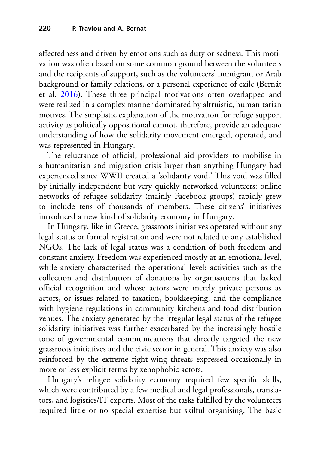affectedness and driven by emotions such as duty or sadness. This motivation was often based on some common ground between the volunteers and the recipients of support, such as the volunteers' immigrant or Arab background or family relations, or a personal experience of exile (Bernát et al. [2016\)](#page-25-7). These three principal motivations often overlapped and were realised in a complex manner dominated by altruistic, humanitarian motives. The simplistic explanation of the motivation for refuge support activity as politically oppositional cannot, therefore, provide an adequate understanding of how the solidarity movement emerged, operated, and was represented in Hungary.

The reluctance of official, professional aid providers to mobilise in a humanitarian and migration crisis larger than anything Hungary had experienced since WWII created a 'solidarity void.' This void was filled by initially independent but very quickly networked volunteers: online networks of refugee solidarity (mainly Facebook groups) rapidly grew to include tens of thousands of members. These citizens' initiatives introduced a new kind of solidarity economy in Hungary.

In Hungary, like in Greece, grassroots initiatives operated without any legal status or formal registration and were not related to any established NGOs. The lack of legal status was a condition of both freedom and constant anxiety. Freedom was experienced mostly at an emotional level, while anxiety characterised the operational level: activities such as the collection and distribution of donations by organisations that lacked official recognition and whose actors were merely private persons as actors, or issues related to taxation, bookkeeping, and the compliance with hygiene regulations in community kitchens and food distribution venues. The anxiety generated by the irregular legal status of the refugee solidarity initiatives was further exacerbated by the increasingly hostile tone of governmental communications that directly targeted the new grassroots initiatives and the civic sector in general. This anxiety was also reinforced by the extreme right-wing threats expressed occasionally in more or less explicit terms by xenophobic actors.

Hungary's refugee solidarity economy required few specific skills, which were contributed by a few medical and legal professionals, translators, and logistics/IT experts. Most of the tasks fulfilled by the volunteers required little or no special expertise but skilful organising. The basic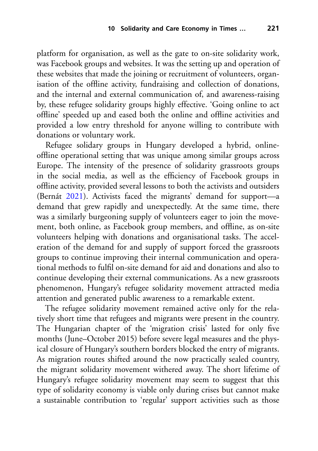platform for organisation, as well as the gate to on-site solidarity work, was Facebook groups and websites. It was the setting up and operation of these websites that made the joining or recruitment of volunteers, organisation of the offline activity, fundraising and collection of donations, and the internal and external communication of, and awareness-raising by, these refugee solidarity groups highly effective. 'Going online to act offline' speeded up and eased both the online and offline activities and provided a low entry threshold for anyone willing to contribute with donations or voluntary work.

Refugee solidary groups in Hungary developed a hybrid, onlineoffline operational setting that was unique among similar groups across Europe. The intensity of the presence of solidarity grassroots groups in the social media, as well as the efficiency of Facebook groups in offline activity, provided several lessons to both the activists and outsiders (Bernát [2021\)](#page-25-7). Activists faced the migrants' demand for support—a demand that grew rapidly and unexpectedly. At the same time, there was a similarly burgeoning supply of volunteers eager to join the movement, both online, as Facebook group members, and offline, as on-site volunteers helping with donations and organisational tasks. The acceleration of the demand for and supply of support forced the grassroots groups to continue improving their internal communication and operational methods to fulfil on-site demand for aid and donations and also to continue developing their external communications. As a new grassroots phenomenon, Hungary's refugee solidarity movement attracted media attention and generated public awareness to a remarkable extent.

The refugee solidarity movement remained active only for the relatively short time that refugees and migrants were present in the country. The Hungarian chapter of the 'migration crisis' lasted for only five months (June–October 2015) before severe legal measures and the physical closure of Hungary's southern borders blocked the entry of migrants. As migration routes shifted around the now practically sealed country, the migrant solidarity movement withered away. The short lifetime of Hungary's refugee solidarity movement may seem to suggest that this type of solidarity economy is viable only during crises but cannot make a sustainable contribution to 'regular' support activities such as those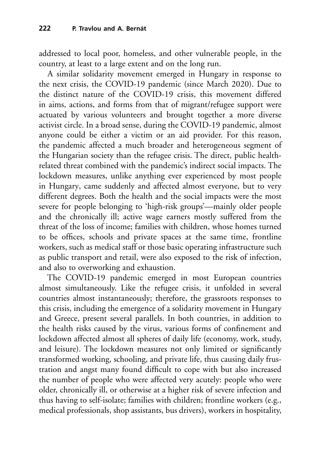addressed to local poor, homeless, and other vulnerable people, in the country, at least to a large extent and on the long run.

A similar solidarity movement emerged in Hungary in response to the next crisis, the COVID-19 pandemic (since March 2020). Due to the distinct nature of the COVID-19 crisis, this movement differed in aims, actions, and forms from that of migrant/refugee support were actuated by various volunteers and brought together a more diverse activist circle. In a broad sense, during the COVID-19 pandemic, almost anyone could be either a victim or an aid provider. For this reason, the pandemic affected a much broader and heterogeneous segment of the Hungarian society than the refugee crisis. The direct, public healthrelated threat combined with the pandemic's indirect social impacts. The lockdown measures, unlike anything ever experienced by most people in Hungary, came suddenly and affected almost everyone, but to very different degrees. Both the health and the social impacts were the most severe for people belonging to 'high-risk groups'—mainly older people and the chronically ill; active wage earners mostly suffered from the threat of the loss of income; families with children, whose homes turned to be offices, schools and private spaces at the same time, frontline workers, such as medical staff or those basic operating infrastructure such as public transport and retail, were also exposed to the risk of infection, and also to overworking and exhaustion.

The COVID-19 pandemic emerged in most European countries almost simultaneously. Like the refugee crisis, it unfolded in several countries almost instantaneously; therefore, the grassroots responses to this crisis, including the emergence of a solidarity movement in Hungary and Greece, present several parallels. In both countries, in addition to the health risks caused by the virus, various forms of confinement and lockdown affected almost all spheres of daily life (economy, work, study, and leisure). The lockdown measures not only limited or significantly transformed working, schooling, and private life, thus causing daily frustration and angst many found difficult to cope with but also increased the number of people who were affected very acutely: people who were older, chronically ill, or otherwise at a higher risk of severe infection and thus having to self-isolate; families with children; frontline workers (e.g., medical professionals, shop assistants, bus drivers), workers in hospitality,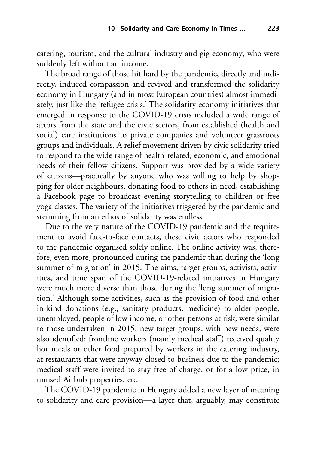catering, tourism, and the cultural industry and gig economy, who were suddenly left without an income.

The broad range of those hit hard by the pandemic, directly and indirectly, induced compassion and revived and transformed the solidarity economy in Hungary (and in most European countries) almost immediately, just like the 'refugee crisis.' The solidarity economy initiatives that emerged in response to the COVID-19 crisis included a wide range of actors from the state and the civic sectors, from established (health and social) care institutions to private companies and volunteer grassroots groups and individuals. A relief movement driven by civic solidarity tried to respond to the wide range of health-related, economic, and emotional needs of their fellow citizens. Support was provided by a wide variety of citizens—practically by anyone who was willing to help by shopping for older neighbours, donating food to others in need, establishing a Facebook page to broadcast evening storytelling to children or free yoga classes. The variety of the initiatives triggered by the pandemic and stemming from an ethos of solidarity was endless.

Due to the very nature of the COVID-19 pandemic and the requirement to avoid face-to-face contacts, these civic actors who responded to the pandemic organised solely online. The online activity was, therefore, even more, pronounced during the pandemic than during the 'long summer of migration' in 2015. The aims, target groups, activists, activities, and time span of the COVID-19-related initiatives in Hungary were much more diverse than those during the 'long summer of migration.' Although some activities, such as the provision of food and other in-kind donations (e.g., sanitary products, medicine) to older people, unemployed, people of low income, or other persons at risk, were similar to those undertaken in 2015, new target groups, with new needs, were also identified: frontline workers (mainly medical staff) received quality hot meals or other food prepared by workers in the catering industry, at restaurants that were anyway closed to business due to the pandemic; medical staff were invited to stay free of charge, or for a low price, in unused Airbnb properties, etc.

The COVID-19 pandemic in Hungary added a new layer of meaning to solidarity and care provision—a layer that, arguably, may constitute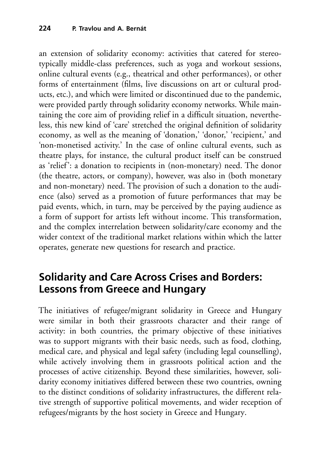an extension of solidarity economy: activities that catered for stereotypically middle-class preferences, such as yoga and workout sessions, online cultural events (e.g., theatrical and other performances), or other forms of entertainment (films, live discussions on art or cultural products, etc.), and which were limited or discontinued due to the pandemic, were provided partly through solidarity economy networks. While maintaining the core aim of providing relief in a difficult situation, nevertheless, this new kind of 'care' stretched the original definition of solidarity economy, as well as the meaning of 'donation,' 'donor,' 'recipient,' and 'non-monetised activity.' In the case of online cultural events, such as theatre plays, for instance, the cultural product itself can be construed as 'relief': a donation to recipients in (non-monetary) need. The donor (the theatre, actors, or company), however, was also in (both monetary and non-monetary) need. The provision of such a donation to the audience (also) served as a promotion of future performances that may be paid events, which, in turn, may be perceived by the paying audience as a form of support for artists left without income. This transformation, and the complex interrelation between solidarity/care economy and the wider context of the traditional market relations within which the latter operates, generate new questions for research and practice.

## **Solidarity and Care Across Crises and Borders: Lessons from Greece and Hungary**

The initiatives of refugee/migrant solidarity in Greece and Hungary were similar in both their grassroots character and their range of activity: in both countries, the primary objective of these initiatives was to support migrants with their basic needs, such as food, clothing, medical care, and physical and legal safety (including legal counselling), while actively involving them in grassroots political action and the processes of active citizenship. Beyond these similarities, however, solidarity economy initiatives differed between these two countries, owning to the distinct conditions of solidarity infrastructures, the different relative strength of supportive political movements, and wider reception of refugees/migrants by the host society in Greece and Hungary.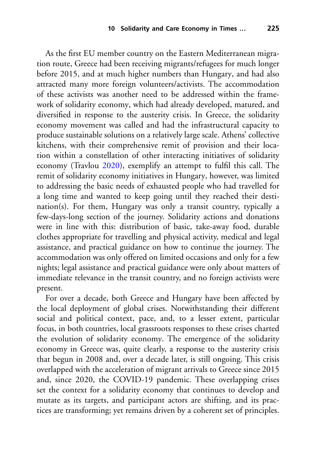As the first EU member country on the Eastern Mediterranean migration route, Greece had been receiving migrants/refugees for much longer before 2015, and at much higher numbers than Hungary, and had also attracted many more foreign volunteers/activists. The accommodation of these activists was another need to be addressed within the framework of solidarity economy, which had already developed, matured, and diversified in response to the austerity crisis. In Greece, the solidarity economy movement was called and had the infrastructural capacity to produce sustainable solutions on a relatively large scale. Athens' collective kitchens, with their comprehensive remit of provision and their location within a constellation of other interacting initiatives of solidarity economy (Travlou [2020\)](#page-28-3), exemplify an attempt to fulfil this call. The remit of solidarity economy initiatives in Hungary, however, was limited to addressing the basic needs of exhausted people who had travelled for a long time and wanted to keep going until they reached their destination(s). For them, Hungary was only a transit country, typically a few-days-long section of the journey. Solidarity actions and donations were in line with this: distribution of basic, take-away food, durable clothes appropriate for travelling and physical activity, medical and legal assistance, and practical guidance on how to continue the journey. The accommodation was only offered on limited occasions and only for a few nights; legal assistance and practical guidance were only about matters of immediate relevance in the transit country, and no foreign activists were present.

For over a decade, both Greece and Hungary have been affected by the local deployment of global crises. Notwithstanding their different social and political context, pace, and, to a lesser extent, particular focus, in both countries, local grassroots responses to these crises charted the evolution of solidarity economy. The emergence of the solidarity economy in Greece was, quite clearly, a response to the austerity crisis that begun in 2008 and, over a decade later, is still ongoing. This crisis overlapped with the acceleration of migrant arrivals to Greece since 2015 and, since 2020, the COVID-19 pandemic. These overlapping crises set the context for a solidarity economy that continues to develop and mutate as its targets, and participant actors are shifting, and its practices are transforming; yet remains driven by a coherent set of principles.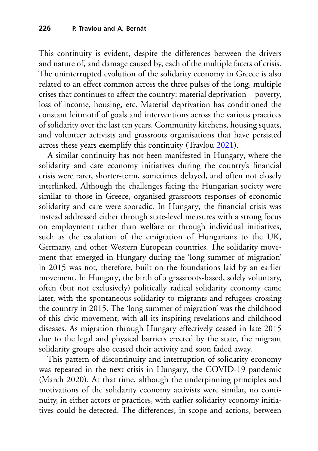This continuity is evident, despite the differences between the drivers and nature of, and damage caused by, each of the multiple facets of crisis. The uninterrupted evolution of the solidarity economy in Greece is also related to an effect common across the three pulses of the long, multiple crises that continues to affect the country: material deprivation—poverty, loss of income, housing, etc. Material deprivation has conditioned the constant leitmotif of goals and interventions across the various practices of solidarity over the last ten years. Community kitchens, housing squats, and volunteer activists and grassroots organisations that have persisted across these years exemplify this continuity (Travlou [2021\)](#page-28-8).

A similar continuity has not been manifested in Hungary, where the solidarity and care economy initiatives during the country's financial crisis were rarer, shorter-term, sometimes delayed, and often not closely interlinked. Although the challenges facing the Hungarian society were similar to those in Greece, organised grassroots responses of economic solidarity and care were sporadic. In Hungary, the financial crisis was instead addressed either through state-level measures with a strong focus on employment rather than welfare or through individual initiatives, such as the escalation of the emigration of Hungarians to the UK, Germany, and other Western European countries. The solidarity movement that emerged in Hungary during the 'long summer of migration' in 2015 was not, therefore, built on the foundations laid by an earlier movement. In Hungary, the birth of a grassroots-based, solely voluntary, often (but not exclusively) politically radical solidarity economy came later, with the spontaneous solidarity to migrants and refugees crossing the country in 2015. The 'long summer of migration' was the childhood of this civic movement, with all its inspiring revelations and childhood diseases. As migration through Hungary effectively ceased in late 2015 due to the legal and physical barriers erected by the state, the migrant solidarity groups also ceased their activity and soon faded away.

This pattern of discontinuity and interruption of solidarity economy was repeated in the next crisis in Hungary, the COVID-19 pandemic (March 2020). At that time, although the underpinning principles and motivations of the solidarity economy activists were similar, no continuity, in either actors or practices, with earlier solidarity economy initiatives could be detected. The differences, in scope and actions, between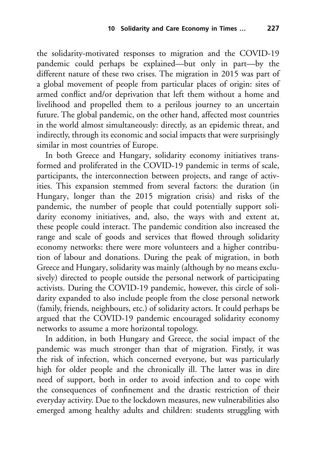the solidarity-motivated responses to migration and the COVID-19 pandemic could perhaps be explained—but only in part—by the different nature of these two crises. The migration in 2015 was part of a global movement of people from particular places of origin: sites of armed conflict and/or deprivation that left them without a home and livelihood and propelled them to a perilous journey to an uncertain future. The global pandemic, on the other hand, affected most countries in the world almost simultaneously: directly, as an epidemic threat, and indirectly, through its economic and social impacts that were surprisingly similar in most countries of Europe.

In both Greece and Hungary, solidarity economy initiatives transformed and proliferated in the COVID-19 pandemic in terms of scale, participants, the interconnection between projects, and range of activities. This expansion stemmed from several factors: the duration (in Hungary, longer than the 2015 migration crisis) and risks of the pandemic, the number of people that could potentially support solidarity economy initiatives, and, also, the ways with and extent at, these people could interact. The pandemic condition also increased the range and scale of goods and services that flowed through solidarity economy networks: there were more volunteers and a higher contribution of labour and donations. During the peak of migration, in both Greece and Hungary, solidarity was mainly (although by no means exclusively) directed to people outside the personal network of participating activists. During the COVID-19 pandemic, however, this circle of solidarity expanded to also include people from the close personal network (family, friends, neighbours, etc.) of solidarity actors. It could perhaps be argued that the COVID-19 pandemic encouraged solidarity economy networks to assume a more horizontal topology.

In addition, in both Hungary and Greece, the social impact of the pandemic was much stronger than that of migration. Firstly, it was the risk of infection, which concerned everyone, but was particularly high for older people and the chronically ill. The latter was in dire need of support, both in order to avoid infection and to cope with the consequences of confinement and the drastic restriction of their everyday activity. Due to the lockdown measures, new vulnerabilities also emerged among healthy adults and children: students struggling with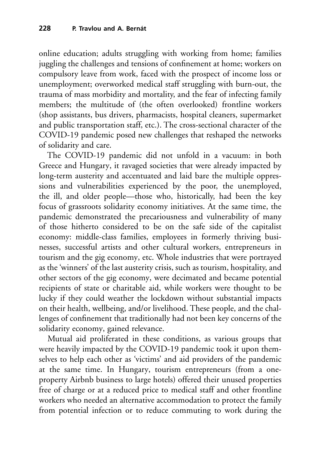online education; adults struggling with working from home; families juggling the challenges and tensions of confinement at home; workers on compulsory leave from work, faced with the prospect of income loss or unemployment; overworked medical staff struggling with burn-out, the trauma of mass morbidity and mortality, and the fear of infecting family members; the multitude of (the often overlooked) frontline workers (shop assistants, bus drivers, pharmacists, hospital cleaners, supermarket and public transportation staff, etc.). The cross-sectional character of the COVID-19 pandemic posed new challenges that reshaped the networks of solidarity and care.

The COVID-19 pandemic did not unfold in a vacuum: in both Greece and Hungary, it ravaged societies that were already impacted by long-term austerity and accentuated and laid bare the multiple oppressions and vulnerabilities experienced by the poor, the unemployed, the ill, and older people—those who, historically, had been the key focus of grassroots solidarity economy initiatives. At the same time, the pandemic demonstrated the precariousness and vulnerability of many of those hitherto considered to be on the safe side of the capitalist economy: middle-class families, employees in formerly thriving businesses, successful artists and other cultural workers, entrepreneurs in tourism and the gig economy, etc. Whole industries that were portrayed as the 'winners' of the last austerity crisis, such as tourism, hospitality, and other sectors of the gig economy, were decimated and became potential recipients of state or charitable aid, while workers were thought to be lucky if they could weather the lockdown without substantial impacts on their health, wellbeing, and/or livelihood. These people, and the challenges of confinement that traditionally had not been key concerns of the solidarity economy, gained relevance.

Mutual aid proliferated in these conditions, as various groups that were heavily impacted by the COVID-19 pandemic took it upon themselves to help each other as 'victims' and aid providers of the pandemic at the same time. In Hungary, tourism entrepreneurs (from a oneproperty Airbnb business to large hotels) offered their unused properties free of charge or at a reduced price to medical staff and other frontline workers who needed an alternative accommodation to protect the family from potential infection or to reduce commuting to work during the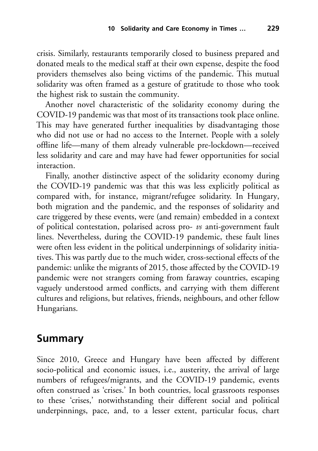crisis. Similarly, restaurants temporarily closed to business prepared and donated meals to the medical staff at their own expense, despite the food providers themselves also being victims of the pandemic. This mutual solidarity was often framed as a gesture of gratitude to those who took the highest risk to sustain the community.

Another novel characteristic of the solidarity economy during the COVID-19 pandemic was that most of its transactions took place online. This may have generated further inequalities by disadvantaging those who did not use or had no access to the Internet. People with a solely offline life—many of them already vulnerable pre-lockdown—received less solidarity and care and may have had fewer opportunities for social interaction.

Finally, another distinctive aspect of the solidarity economy during the COVID-19 pandemic was that this was less explicitly political as compared with, for instance, migrant/refugee solidarity. In Hungary, both migration and the pandemic, and the responses of solidarity and care triggered by these events, were (and remain) embedded in a context of political contestation, polarised across pro- *vs* anti-government fault lines. Nevertheless, during the COVID-19 pandemic, these fault lines were often less evident in the political underpinnings of solidarity initiatives. This was partly due to the much wider, cross-sectional effects of the pandemic: unlike the migrants of 2015, those affected by the COVID-19 pandemic were not strangers coming from faraway countries, escaping vaguely understood armed conflicts, and carrying with them different cultures and religions, but relatives, friends, neighbours, and other fellow Hungarians.

## **Summary**

Since 2010, Greece and Hungary have been affected by different socio-political and economic issues, i.e., austerity, the arrival of large numbers of refugees/migrants, and the COVID-19 pandemic, events often construed as 'crises.' In both countries, local grassroots responses to these 'crises,' notwithstanding their different social and political underpinnings, pace, and, to a lesser extent, particular focus, chart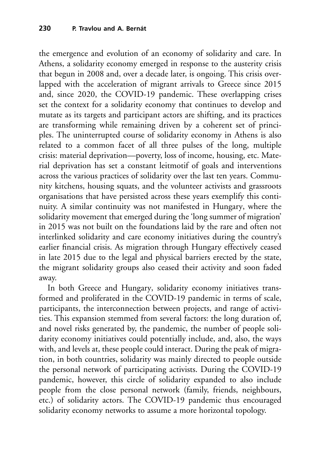the emergence and evolution of an economy of solidarity and care. In Athens, a solidarity economy emerged in response to the austerity crisis that begun in 2008 and, over a decade later, is ongoing. This crisis overlapped with the acceleration of migrant arrivals to Greece since 2015 and, since 2020, the COVID-19 pandemic. These overlapping crises set the context for a solidarity economy that continues to develop and mutate as its targets and participant actors are shifting, and its practices are transforming while remaining driven by a coherent set of principles. The uninterrupted course of solidarity economy in Athens is also related to a common facet of all three pulses of the long, multiple crisis: material deprivation—poverty, loss of income, housing, etc. Material deprivation has set a constant leitmotif of goals and interventions across the various practices of solidarity over the last ten years. Community kitchens, housing squats, and the volunteer activists and grassroots organisations that have persisted across these years exemplify this continuity. A similar continuity was not manifested in Hungary, where the solidarity movement that emerged during the 'long summer of migration' in 2015 was not built on the foundations laid by the rare and often not interlinked solidarity and care economy initiatives during the country's earlier financial crisis. As migration through Hungary effectively ceased in late 2015 due to the legal and physical barriers erected by the state, the migrant solidarity groups also ceased their activity and soon faded away.

In both Greece and Hungary, solidarity economy initiatives transformed and proliferated in the COVID-19 pandemic in terms of scale, participants, the interconnection between projects, and range of activities. This expansion stemmed from several factors: the long duration of, and novel risks generated by, the pandemic, the number of people solidarity economy initiatives could potentially include, and, also, the ways with, and levels at, these people could interact. During the peak of migration, in both countries, solidarity was mainly directed to people outside the personal network of participating activists. During the COVID-19 pandemic, however, this circle of solidarity expanded to also include people from the close personal network (family, friends, neighbours, etc.) of solidarity actors. The COVID-19 pandemic thus encouraged solidarity economy networks to assume a more horizontal topology.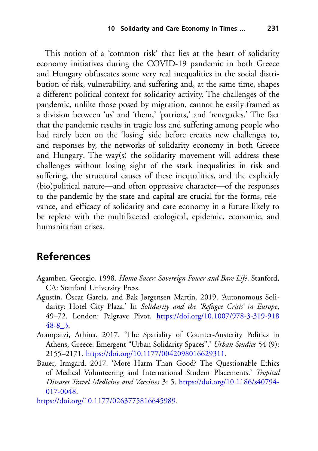This notion of a 'common risk' that lies at the heart of solidarity economy initiatives during the COVID-19 pandemic in both Greece and Hungary obfuscates some very real inequalities in the social distribution of risk, vulnerability, and suffering and, at the same time, shapes a different political context for solidarity activity. The challenges of the pandemic, unlike those posed by migration, cannot be easily framed as a division between 'us' and 'them,' 'patriots,' and 'renegades.' The fact that the pandemic results in tragic loss and suffering among people who had rarely been on the 'losing' side before creates new challenges to, and responses by, the networks of solidarity economy in both Greece and Hungary. The way(s) the solidarity movement will address these challenges without losing sight of the stark inequalities in risk and suffering, the structural causes of these inequalities, and the explicitly (bio)political nature—and often oppressive character—of the responses to the pandemic by the state and capital are crucial for the forms, relevance, and efficacy of solidarity and care economy in a future likely to be replete with the multifaceted ecological, epidemic, economic, and humanitarian crises.

## **References**

- <span id="page-24-3"></span>Agamben, Georgio. 1998. *Homo Sacer: Sovereign Power and Bare Life*. Stanford, CA: Stanford University Press.
- <span id="page-24-1"></span>Agustín, Óscar García, and Bak Jørgensen Martin. 2019. 'Autonomous Solidarity: Hotel City Plaza.' In *Solidarity and the 'Refugee Crisis' in Europe*, 49–72. London: Palgrave Pivot. [https://doi.org/10.1007/978-3-319-918](https://doi.org/10.1007/978-3-319-91848-8_3) 48-8\_3.
- <span id="page-24-0"></span>Arampatzi, Athina. 2017. 'The Spatiality of Counter-Austerity Politics in Athens, Greece: Emergent "Urban Solidarity Spaces".' *Urban Studies* 54 (9): 2155–2171. [https://doi.org/10.1177/0042098016629311.](https://doi.org/10.1177/0042098016629311)
- <span id="page-24-2"></span>Bauer, Irmgard. 2017. 'More Harm Than Good? The Questionable Ethics of Medical Volunteering and International Student Placements.' *Tropical [Diseases Travel Medicine and Vaccines](https://doi.org/10.1186/s40794-017-0048)* 3: 5. https://doi.org/10.1186/s40794- 017-0048.
- <span id="page-24-4"></span>[https://doi.org/10.1177/0263775816645989.](https://doi.org/10.1177/0263775816645989)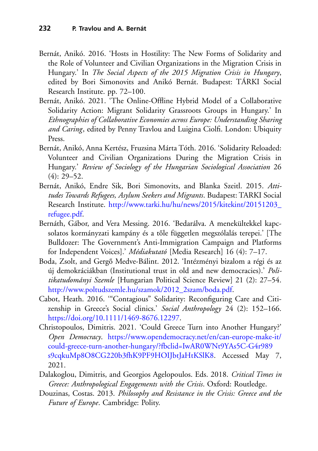- <span id="page-25-8"></span>Bernát, Anikó. 2016. 'Hosts in Hostility: The New Forms of Solidarity and the Role of Volunteer and Civilian Organizations in the Migration Crisis in Hungary.' In *The Social Aspects of the 2015 Migration Crisis in Hungary*, edited by Bori Simonovits and Anikó Bernát. Budapest: TÁRKI Social Research Institute. pp. 72–100.
- Bernát, Anikó. 2021. 'The Online-Offline Hybrid Model of a Collaborative Solidarity Action: Migrant Solidarity Grassroots Groups in Hungary.' In *Ethnographies of Collaborative Economies across Europe: Understanding Sharing and Caring*, edited by Penny Travlou and Luigina Ciolfi. London: Ubiquity Press.
- <span id="page-25-7"></span>Bernát, Anikó, Anna Kertész, Fruzsina Márta Tóth. 2016. 'Solidarity Reloaded: Volunteer and Civilian Organizations During the Migration Crisis in Hungary.' *Review of Sociology of the Hungarian Sociological Association* 26  $(4): 29 - 52.$
- <span id="page-25-5"></span>Bernát, Anikó, Endre Sik, Bori Simonovits, and Blanka Szeitl. 2015. *Attitudes Towards Refugees, Asylum Seekers and Migrants*. Budapest: TARKI Social Research Institute. [http://www.tarki.hu/hu/news/2015/kitekint/20151203\\_](http://www.tarki.hu/hu/news/2015/kitekint/20151203_refugee.pdf) refugee.pdf.
- <span id="page-25-6"></span>Bernáth, Gábor, and Vera Messing. 2016. 'Bedarálva. A menekültekkel kapcsolatos kormányzati kampány és a tőle független megszólalás terepei.' [The Bulldozer: The Government's Anti-Immigration Campaign and Platforms for Independent Voices].' *Médiakutató* [Media Research] 16 (4): 7–17.
- <span id="page-25-4"></span>Boda, Zsolt, and Gergő Medve-Bálint. 2012. 'Intézményi bizalom a régi és az új demokráciákban (Institutional trust in old and new democracies).' *Politikatudományi Szemle* [Hungarian Political Science Review] 21 (2): 27–54. [http://www.poltudszemle.hu/szamok/2012\\_2szam/boda.pdf.](http://www.poltudszemle.hu/szamok/2012_2szam/boda.pdf)
- <span id="page-25-0"></span>Cabot, Heath. 2016. '"Contagious" Solidarity: Reconfiguring Care and Citizenship in Greece's Social clinics.' *Social Anthropology* 24 (2): 152–166. [https://doi.org/10.1111/1469-8676.12297.](https://doi.org/10.1111/1469-8676.12297)
- <span id="page-25-3"></span>Christopoulos, Dimitris. 2021. 'Could Greece Turn into Another Hungary?' *Open Democracy*. https://www.opendemocracy.net/en/can-europe-make-it/ could-greece-turn-another-hungary/?fbclid=IwAR0WNt9YAs5C-G4r989 [s9cqkuMp8O8CG220b3fhK9PF9HOIJbtJaHtKSlK8. Accessed May 7,](https://www.opendemocracy.net/en/can-europe-make-it/could-greece-turn-another-hungary/%3Ffbclid%3DIwAR0WNt9YAs5C-G4r989s9cqkuMp8O8CG220b3fhK9PF9HOIJbtJaHtKSlK8) 2021.
- <span id="page-25-1"></span>Dalakoglou, Dimitris, and Georgios Agelopoulos. Eds. 2018. *Critical Times in Greece: Anthropological Engagements with the Crisis*. Oxford: Routledge.
- <span id="page-25-2"></span>Douzinas, Costas. 2013. *Philosophy and Resistance in the Crisis: Greece and the Future of Europe*. Cambridge: Polity.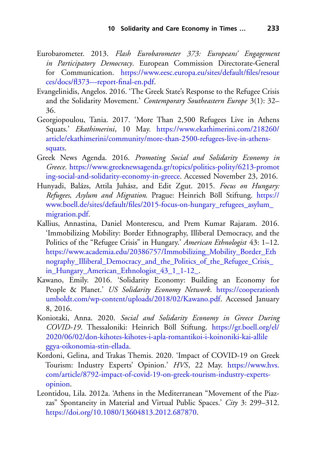- <span id="page-26-7"></span>Eurobarometer. 2013. *Flash Eurobarometer 373: Europeans' Engagement in Participatory Democracy*. European Commission Directorate-General for Communication. [https://www.eesc.europa.eu/sites/default/files/resour](https://www.eesc.europa.eu/sites/default/files/resources/docs/fl373{-}{-}-report-final-en.pdf) ces/docs/fl373---report-final-en.pdf.
- <span id="page-26-4"></span>Evangelinidis, Angelos. 2016. 'The Greek State's Response to the Refugee Crisis and the Solidarity Movement.' *Contemporary Southeastern Europe* 3(1): 32– 36.
- <span id="page-26-5"></span>Georgiopoulou, Tania. 2017. 'More Than 2,500 Refugees Live in Athens Squats.' *Ekathimerini*, 10 May. https://www.ekathimerini.com/218260/ [article/ekathimerini/community/more-than-2500-refugees-live-in-athens](https://www.ekathimerini.com/218260/article/ekathimerini/community/more-than-2500-refugees-live-in-athens-squats)squats.
- <span id="page-26-2"></span>Greek News Agenda. 2016. *Promoting Social and Solidarity Economy in Greece*. https://www.greeknewsagenda.gr/topics/politics-polity/6213-promot [ing-social-and-solidarity-economy-in-greece. Accessed November 23, 2016.](https://www.greeknewsagenda.gr/topics/politics-polity/6213-promoting-social-and-solidarity-economy-in-greece)
- <span id="page-26-8"></span>Hunyadi, Balázs, Attila Juhász, and Edit Zgut. 2015. *Focus on Hungary: Refugees, Asylum and Migration*. Prague: Heinrich Böll Stiftung. https:// [www.boell.de/sites/default/files/2015-focus-on-hungary\\_refugees\\_asylum\\_](https://www.boell.de/sites/default/files/2015-focus-on-hungary_refugees_asylum_migration.pdf) migration.pdf.
- <span id="page-26-9"></span>Kallius, Annastina, Daniel Monterescu, and Prem Kumar Rajaram. 2016. 'Immobilizing Mobility: Border Ethnography, Illiberal Democracy, and the Politics of the "Refugee Crisis" in Hungary.' *American Ethnologist* 43: 1–12. [https://www.academia.edu/20386757/Immobilizing\\_Mobility\\_Border\\_Eth](https://www.academia.edu/20386757/Immobilizing_Mobility_Border_Ethnography_Illiberal_Democracy_and_the_Politics_of_the_Refugee_Crisis_in_Hungary_American_Ethnologist_43_1_1-12_) nography\_Illiberal\_Democracy\_and\_the\_Politics\_of\_the\_Refugee\_Crisis\_ in\_Hungary\_American\_Ethnologist\_43\_1\_1-12\_.
- <span id="page-26-0"></span>Kawano, Emily. 2016. 'Solidarity Economy: Building an Economy for People & Planet.' *US Solidarity Economy Network*. https://cooperationh [umboldt.com/wp-content/uploads/2018/02/Kawano.pdf. Accessed January](https://cooperationhumboldt.com/wp-content/uploads/2018/02/Kawano.pdf) 8, 2016.
- <span id="page-26-3"></span>Koniotaki, Anna. 2020. *Social and Solidarity Economy in Greece During COVID-19*. Thessaloniki: Heinrich Böll Stiftung. https://gr.boell.org/el/ [2020/06/02/don-kihotes-kihotes-i-apla-romantikoi-i-koinoniki-kai-allile](https://gr.boell.org/el/2020/06/02/don-kihotes-kihotes-i-apla-romantikoi-i-koinoniki-kai-allileggya-oikonomia-stin-ellada) ggya-oikonomia-stin-ellada.
- <span id="page-26-6"></span>Kordoni, Gelina, and Trakas Themis. 2020. 'Impact of COVID-19 on Greek Tourism: Industry Experts' Opinion.' *HVS*, 22 May. https://www.hvs. [com/article/8792-impact-of-covid-19-on-greek-tourism-industry-experts](https://www.hvs.com/article/8792-impact-of-covid-19-on-greek-tourism-industry-experts-opinion)opinion.
- <span id="page-26-1"></span>Leontidou, Lila. 2012a. 'Athens in the Mediterranean "Movement of the Piazzas" Spontaneity in Material and Virtual Public Spaces.' *City* 3: 299–312. [https://doi.org/10.1080/13604813.2012.687870.](https://doi.org/10.1080/13604813.2012.687870)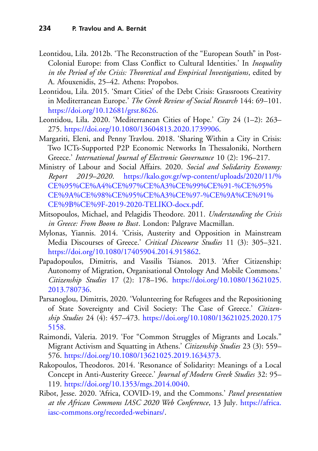- <span id="page-27-0"></span>Leontidou, Lila. 2012b. 'The Reconstruction of the "European South" in Post-Colonial Europe: from Class Conflict to Cultural Identities.' In *Inequality in the Period of the Crisis: Theoretical and Empirical Investigations*, edited by A. Afouxenidis, 25–42. Athens: Propobos.
- <span id="page-27-1"></span>Leontidou, Lila. 2015. 'Smart Cities' of the Debt Crisis: Grassroots Creativity in Mediterranean Europe.' *The Greek Review of Social Research* 144: 69–101. [https://doi.org/10.12681/grsr.8626.](https://doi.org/10.12681/grsr.8626)
- <span id="page-27-4"></span>Leontidou, Lila. 2020. 'Mediterranean Cities of Hope.' *City* 24 (1–2): 263– 275. [https://doi.org/10.1080/13604813.2020.1739906.](https://doi.org/10.1080/13604813.2020.1739906)
- <span id="page-27-2"></span>Margariti, Eleni, and Penny Travlou. 2018. 'Sharing Within a City in Crisis: Two ICTs-Supported P2P Economic Networks In Thessaloniki, Northern Greece.' *International Journal of Electronic Governance* 10 (2): 196–217.
- <span id="page-27-5"></span>Ministry of Labour and Social Affairs. 2020. *Social and Solidarity Economy: Report 2019–2020*. https://kalo.gov.gr/wp-content/uploads/2020/11/% CE%95%CE%A4%CE%97%CE%A3%CE%99%CE%91-%CE%95% [CE%9A%CE%98%CE%95%CE%A3%CE%97-%CE%9A%CE%91%](https://kalo.gov.gr/wp-content/uploads/2020/11/%25CE%2595%25CE%25A4%25CE%2597%25CE%25A3%25CE%2599%25CE%2591-%25CE%2595%25CE%259A%25CE%2598%25CE%2595%25CE%25A3%25CE%2597-%25CE%259A%25CE%2591%25CE%259B%25CE%259F-2019-2020-TELIKO-docx.pdf) CE%9B%CE%9F-2019-2020-TELIKO-docx.pdf.
- <span id="page-27-8"></span>Mitsopoulos, Michael, and Pelagidis Theodore. 2011. *Understanding the Crisis in Greece: From Boom to Bust*. London: Palgrave Macmillan.
- <span id="page-27-9"></span>Mylonas, Yiannis. 2014. 'Crisis, Austerity and Opposition in Mainstream Media Discourses of Greece.' *Critical Discourse Studies* 11 (3): 305–321. [https://doi.org/10.1080/17405904.2014.915862.](https://doi.org/10.1080/17405904.2014.915862)
- <span id="page-27-10"></span>Papadopoulos, Dimitris, and Vassilis Tsianos. 2013. 'After Citizenship: Autonomy of Migration, Organisational Ontology And Mobile Commons.' *Citizenship Studies* 17 (2): 178–196. [https://doi.org/10.1080/13621025.](https://doi.org/10.1080/13621025.2013.780736) 2013.780736.
- <span id="page-27-7"></span>Parsanoglou, Dimitris, 2020. 'Volunteering for Refugees and the Repositioning of State Sovereignty and Civil Society: The Case of Greece.' *Citizenship Studies* 24 (4): 457–473. [https://doi.org/10.1080/13621025.2020.175](https://doi.org/10.1080/13621025.2020.1755158) 5158.
- <span id="page-27-6"></span>Raimondi, Valeria. 2019. 'For "Common Struggles of Migrants and Locals." Migrant Activism and Squatting in Athens.' *Citizenship Studies* 23 (3): 559– 576. [https://doi.org/10.1080/13621025.2019.1634373.](https://doi.org/10.1080/13621025.2019.1634373)
- <span id="page-27-3"></span>Rakopoulos, Theodoros. 2014. 'Resonance of Solidarity: Meanings of a Local Concept in Anti-Austerity Greece.' *Journal of Modern Greek Studies* 32: 95– 119. [https://doi.org/10.1353/mgs.2014.0040.](https://doi.org/10.1353/mgs.2014.0040)
- <span id="page-27-11"></span>Ribot, Jesse. 2020. 'Africa, COVID-19, and the Commons.' *Panel presentation [at the African Commons IASC 2020 Web Conference](https://africa.iasc-commons.org/recorded-webinars/)*, 13 July*.* https://africa. iasc-commons.org/recorded-webinars/.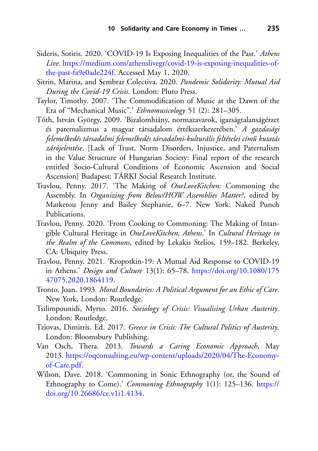- <span id="page-28-7"></span>Sideris, Sotiris. 2020. 'COVID-19 Is Exposing Inequalities of the Past.' *Athens Live*. [https://medium.com/athenslivegr/covid-19-is-exposing-inequalities-of](https://medium.com/athenslivegr/covid-19-is-exposing-inequalities-of-the-past-fa9e0ade224f)the-past-fa9e0ade224f. Accessed May 1, 2020.
- <span id="page-28-9"></span>Sitrin, Marina, and Sembrar Colectiva. 2020. *Pandemic Solidarity: Mutual Aid During the Covid-19 Crisis*. London: Pluto Press.
- <span id="page-28-6"></span>Taylor, Timothy. 2007. 'The Commodification of Music at the Dawn of the Era of "Mechanical Music".' *Ethnomusicology* 51 (2): 281–305.
- <span id="page-28-10"></span>Tóth, István György. 2009. 'Bizalomhiány, normazavarok, igazságtalanságérzet és paternalizmus a magyar társadalom értékszerkezetében.' *A gazdasági felemelkedés társadalmi felemelkedés társadalmi-kulturális feltételei cím˝u kutatás zárójelentése*. [Lack of Trust, Norm Disorders, Injustice, and Paternalism in the Value Structure of Hungarian Society: Final report of the research entitled Socio-Cultural Conditions of Economic Ascension and Social Ascension] Budapest: TÁRKI Social Research Institute.
- Travlou, Penny. 2017. 'The Making of *OneLoveKitchen:* Commoning the Assembly. In *Organizing from Below/HOW Assemblies Matter?*, edited by Marketou Jenny and Bailey Stephanie, 6–7*.* New York: Naked Punch Publications.
- <span id="page-28-3"></span>Travlou, Penny. 2020. 'From Cooking to Commoning: The Making of Intangible Cultural Heritage in *OneLoveKitchen, Athens*.' In *Cultural Heritage in the Realm of the Commons*, edited by Lekakis Stelios, 159–182. Berkeley, CA: Ubiquity Press.
- <span id="page-28-8"></span>Travlou, Penny. 2021. 'Kropotkin-19: A Mutual Aid Response to COVID-19 in Athens.' *Design and Culture* 13(1): 65–78. [https://doi.org/10.1080/175](https://doi.org/10.1080/17547075.2020.1864119) 47075.2020.1864119.
- <span id="page-28-1"></span>Tronto, Joan. 1993. *Moral Boundaries: A Political Argument for an Ethic of Care*. New York, London: Routledge.
- <span id="page-28-4"></span>Tsilimpounidi, Myrto. 2016. *Sociology of Crisis: Visualising Urban Austerity*. London: Routledge.
- <span id="page-28-2"></span>Tziovas, Dimitris. Ed. 2017. *Greece in Crisis: The Cultural Politics of Austerity*. London: Bloomsbury Publishing.
- <span id="page-28-0"></span>Van Osch, Thera. 2013. *Towards a Caring Economic Approach*, May 2013. [https://oqconsulting.eu/wp-content/uploads/2020/04/The-Economy](https://oqconsulting.eu/wp-content/uploads/2020/04/The-Economy-of-Care.pdf)of-Care.pdf.
- <span id="page-28-5"></span>Wilson, Dave. 2018. 'Commoning in Sonic Ethnography (or, the Sound of Ethnography to Come).' *Commoning Ethnography* 1(1): 125–136. https:// [doi.org/10.26686/ce.v1i1.4134.](https://doi.org/10.26686/ce.v1i1.4134)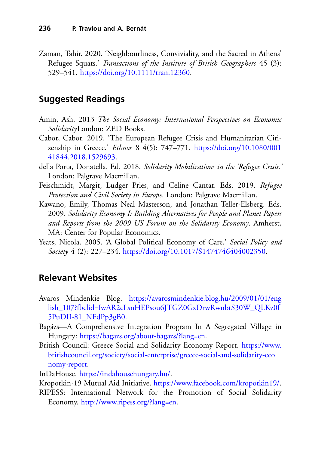<span id="page-29-1"></span>Zaman, Tahir. 2020. 'Neighbourliness, Conviviality, and the Sacred in Athens' Refugee Squats.' *Transactions of the Institute of British Geographers* 45 (3): 529–541. [https://doi.org/10.1111/tran.12360.](https://doi.org/10.1111/tran.12360)

#### **Suggested Readings**

- Amin, Ash. 2013 *The Social Economy: International Perspectives on Economic Solidarity*London: ZED Books.
- <span id="page-29-0"></span>Cabot, Cabot. 2019. 'The European Refugee Crisis and Humanitarian Citizenship in Greece.' *Ethnos* 8 4(5): 747–771. [https://doi.org/10.1080/001](https://doi.org/10.1080/00141844.2018.1529693) 41844.2018.1529693.
- della Porta, Donatella. Ed. 2018. *Solidarity Mobilizations in the 'Refugee Crisis.'* London: Palgrave Macmillan.
- Feischmidt, Margit, Ludger Pries, and Celine Cantat. Eds. 2019. *Refugee Protection and Civil Society in Europe.* London: Palgrave Macmillan.
- Kawano, Emily, Thomas Neal Masterson, and Jonathan Teller-Elsberg. Eds. 2009. *Solidarity Economy I: Building Alternatives for People and Planet Papers and Reports from the 2009 US Forum on the Solidarity Economy*. Amherst, MA: Center for Popular Economics.
- Yeats, Nicola. 2005. 'A Global Political Economy of Care.' *Social Policy and Society* 4 (2): 227–234. [https://doi.org/10.1017/S1474746404002350.](https://doi.org/10.1017/S1474746404002350)

#### **Relevant Websites**

- Avaros Mindenkie Blog. https://avarosmindenkie.blog.hu/2009/01/01/eng [lish\\_107?fbclid=IwAR2cLsnHEPsou6JTGZ0GzDrwRwnbtS30W\\_QLKz0f](https://avarosmindenkie.blog.hu/2009/01/01/english_107%3Ffbclid%3DIwAR2cLsnHEPsou6JTGZ0GzDrwRwnbtS30W_QLKz0f5PuDII-81_NFdPp3gB0) 5PuDII-81\_NFdPp3gB0.
- Bagázs—A Comprehensive Integration Program In A Segregated Village in Hungary: [https://bagazs.org/about-bagazs/?lang=en.](https://bagazs.org/about-bagazs/%3Flang%3Den)
- British Council: Greece Social and Solidarity Economy Report. https://www. [britishcouncil.org/society/social-enterprise/greece-social-and-solidarity-eco](https://www.britishcouncil.org/society/social-enterprise/greece-social-and-solidarity-economy-report) nomy-report.

InDaHouse. [https://indahousehungary.hu/.](https://indahousehungary.hu/)

Kropotkin-19 Mutual Aid Initiative. [https://www.facebook.com/kropotkin19/.](https://www.facebook.com/kropotkin19/)

RIPESS: International Network for the Promotion of Social Solidarity Economy. [http://www.ripess.org/?lang=en.](http://www.ripess.org/%3Flang%3Den)